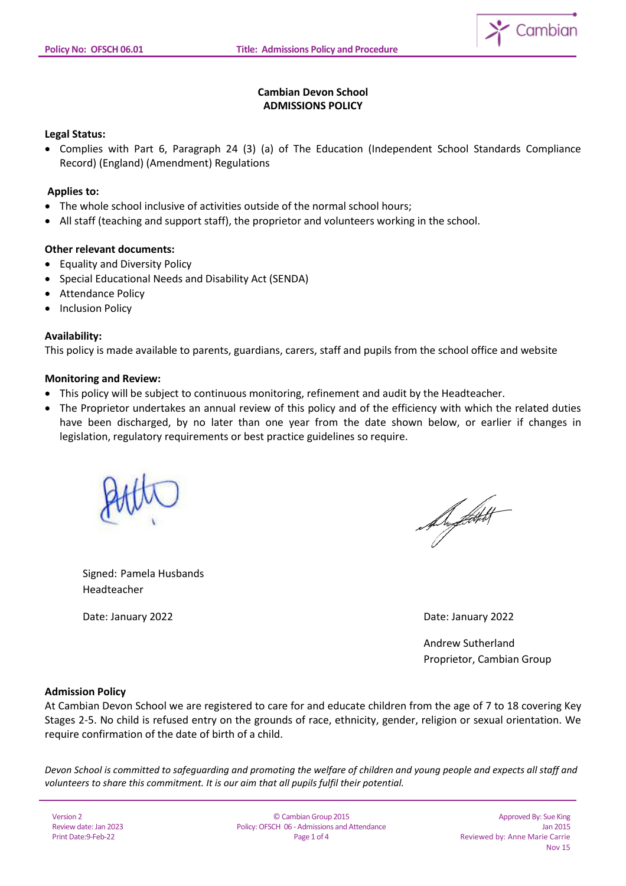

# **Cambian Devon School ADMISSIONS POLICY**

# **Legal Status:**

 Complies with Part 6, Paragraph 24 (3) (a) of The Education (Independent School Standards Compliance Record) (England) (Amendment) Regulations

# **Applies to:**

- The whole school inclusive of activities outside of the normal school hours;
- All staff (teaching and support staff), the proprietor and volunteers working in the school.

# **Other relevant documents:**

- Equality and Diversity Policy
- Special Educational Needs and Disability Act (SENDA)
- Attendance Policy
- Inclusion Policy

### **Availability:**

This policy is made available to parents, guardians, carers, staff and pupils from the school office and website

### **Monitoring and Review:**

- This policy will be subject to continuous monitoring, refinement and audit by the Headteacher.
- The Proprietor undertakes an annual review of this policy and of the efficiency with which the related duties have been discharged, by no later than one year from the date shown below, or earlier if changes in legislation, regulatory requirements or best practice guidelines so require.



Suptak

Signed: Pamela Husbands Headteacher

Date: January 2022 Date: January 2022

 Andrew Sutherland Proprietor, Cambian Group

### **Admission Policy**

At Cambian Devon School we are registered to care for and educate children from the age of 7 to 18 covering Key Stages 2-5. No child is refused entry on the grounds of race, ethnicity, gender, religion or sexual orientation. We require confirmation of the date of birth of a child.

*Devon School is committed to safeguarding and promoting the welfare of children and young people and expects all staff and volunteers to share this commitment. It is our aim that all pupils fulfil their potential.*

Version 2 Review date: Jan 2023 Print Date:9-Feb-22

© Cambian Group 2015 Policy:OFSCH 06 - Admissions and Attendance Page 1 of 4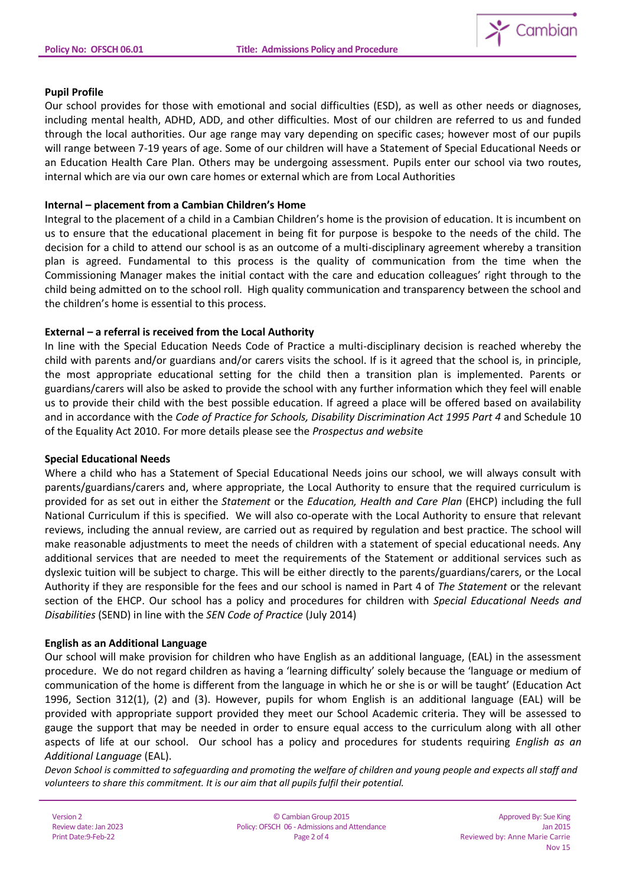

# **Pupil Profile**

Our school provides for those with emotional and social difficulties (ESD), as well as other needs or diagnoses, including mental health, ADHD, ADD, and other difficulties. Most of our children are referred to us and funded through the local authorities. Our age range may vary depending on specific cases; however most of our pupils will range between 7-19 years of age. Some of our children will have a Statement of Special Educational Needs or an Education Health Care Plan. Others may be undergoing assessment. Pupils enter our school via two routes, internal which are via our own care homes or external which are from Local Authorities

### **Internal – placement from a Cambian Children's Home**

Integral to the placement of a child in a Cambian Children's home is the provision of education. It is incumbent on us to ensure that the educational placement in being fit for purpose is bespoke to the needs of the child. The decision for a child to attend our school is as an outcome of a multi-disciplinary agreement whereby a transition plan is agreed. Fundamental to this process is the quality of communication from the time when the Commissioning Manager makes the initial contact with the care and education colleagues' right through to the child being admitted on to the school roll. High quality communication and transparency between the school and the children's home is essential to this process.

# **External – a referral is received from the Local Authority**

In line with the Special Education Needs Code of Practice a multi-disciplinary decision is reached whereby the child with parents and/or guardians and/or carers visits the school. If is it agreed that the school is, in principle, the most appropriate educational setting for the child then a transition plan is implemented. Parents or guardians/carers will also be asked to provide the school with any further information which they feel will enable us to provide their child with the best possible education. If agreed a place will be offered based on availability and in accordance with the *Code of Practice for Schools, Disability Discrimination Act 1995 Part 4* and Schedule 10 of the Equality Act 2010. For more details please see the *Prospectus and websit*e

### **Special Educational Needs**

Where a child who has a Statement of Special Educational Needs joins our school, we will always consult with parents/guardians/carers and, where appropriate, the Local Authority to ensure that the required curriculum is provided for as set out in either the *Statement* or the *Education, Health and Care Plan* (EHCP) including the full National Curriculum if this is specified. We will also co-operate with the Local Authority to ensure that relevant reviews, including the annual review, are carried out as required by regulation and best practice. The school will make reasonable adjustments to meet the needs of children with a statement of special educational needs. Any additional services that are needed to meet the requirements of the Statement or additional services such as dyslexic tuition will be subject to charge. This will be either directly to the parents/guardians/carers, or the Local Authority if they are responsible for the fees and our school is named in Part 4 of *The Statement* or the relevant section of the EHCP. Our school has a policy and procedures for children with *Special Educational Needs and Disabilities* (SEND) in line with the *SEN Code of Practice* (July 2014)

### **English as an Additional Language**

Our school will make provision for children who have English as an additional language, (EAL) in the assessment procedure. We do not regard children as having a 'learning difficulty' solely because the 'language or medium of communication of the home is different from the language in which he or she is or will be taught' (Education Act 1996, Section 312(1), (2) and (3). However, pupils for whom English is an additional language (EAL) will be provided with appropriate support provided they meet our School Academic criteria. They will be assessed to gauge the support that may be needed in order to ensure equal access to the curriculum along with all other aspects of life at our school. Our school has a policy and procedures for students requiring *English as an Additional Language* (EAL).

*Devon School is committed to safeguarding and promoting the welfare of children and young people and expects all staff and volunteers to share this commitment. It is our aim that all pupils fulfil their potential.*

Version 2 Review date: Jan 2023 Print Date:9-Feb-22

© Cambian Group 2015 Policy:OFSCH 06 - Admissions and Attendance Page 2 of 4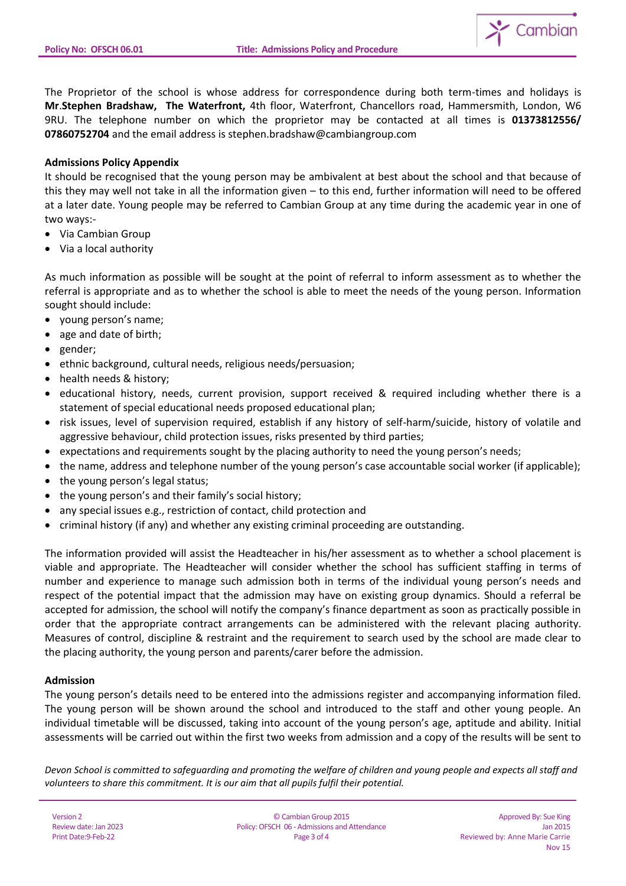

The Proprietor of the school is whose address for correspondence during both term-times and holidays is **Mr**.**Stephen Bradshaw, The Waterfront,** 4th floor, Waterfront, Chancellors road, Hammersmith, London, W6 9RU. The telephone number on which the proprietor may be contacted at all times is **01373812556/ 07860752704** and the email address is stephen.bradshaw@cambiangroup.com

# **Admissions Policy Appendix**

It should be recognised that the young person may be ambivalent at best about the school and that because of this they may well not take in all the information given – to this end, further information will need to be offered at a later date. Young people may be referred to Cambian Group at any time during the academic year in one of two ways:-

- Via Cambian Group
- Via a local authority

As much information as possible will be sought at the point of referral to inform assessment as to whether the referral is appropriate and as to whether the school is able to meet the needs of the young person. Information sought should include:

- young person's name;
- age and date of birth;
- gender;
- ethnic background, cultural needs, religious needs/persuasion;
- health needs & history;
- educational history, needs, current provision, support received & required including whether there is a statement of special educational needs proposed educational plan;
- risk issues, level of supervision required, establish if any history of self-harm/suicide, history of volatile and aggressive behaviour, child protection issues, risks presented by third parties;
- expectations and requirements sought by the placing authority to need the young person's needs;
- the name, address and telephone number of the young person's case accountable social worker (if applicable);
- the young person's legal status;
- the young person's and their family's social history;
- any special issues e.g., restriction of contact, child protection and
- criminal history (if any) and whether any existing criminal proceeding are outstanding.

The information provided will assist the Headteacher in his/her assessment as to whether a school placement is viable and appropriate. The Headteacher will consider whether the school has sufficient staffing in terms of number and experience to manage such admission both in terms of the individual young person's needs and respect of the potential impact that the admission may have on existing group dynamics. Should a referral be accepted for admission, the school will notify the company's finance department as soon as practically possible in order that the appropriate contract arrangements can be administered with the relevant placing authority. Measures of control, discipline & restraint and the requirement to search used by the school are made clear to the placing authority, the young person and parents/carer before the admission.

### **Admission**

The young person's details need to be entered into the admissions register and accompanying information filed. The young person will be shown around the school and introduced to the staff and other young people. An individual timetable will be discussed, taking into account of the young person's age, aptitude and ability. Initial assessments will be carried out within the first two weeks from admission and a copy of the results will be sent to

*Devon School is committed to safeguarding and promoting the welfare of children and young people and expects all staff and volunteers to share this commitment. It is our aim that all pupils fulfil their potential.*

Version 2 Review date: Jan 2023 Print Date:9-Feb-22

© Cambian Group 2015 Policy:OFSCH 06 - Admissions and Attendance Page 3 of 4